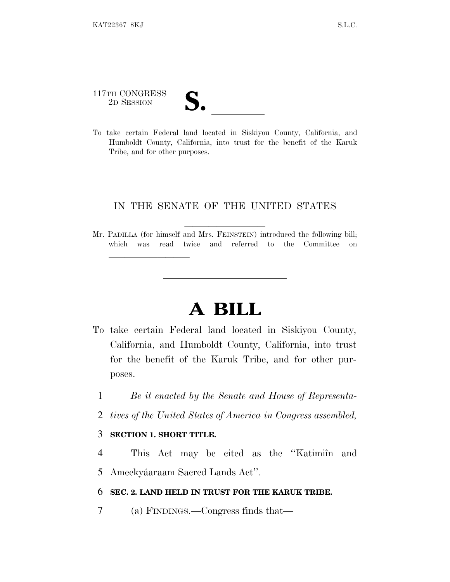117TH CONGRESS 117TH CONGRESS<br>
2D SESSION<br>
To take certain Federal land located in Siskiyou County, California, and

lland and a state of the state of the state of the state of the state of the state of the state of the state o

Humboldt County, California, into trust for the benefit of the Karuk Tribe, and for other purposes.

## IN THE SENATE OF THE UNITED STATES

Mr. PADILLA (for himself and Mrs. FEINSTEIN) introduced the following bill; which was read twice and referred to the Committee on

## **A BILL**

- To take certain Federal land located in Siskiyou County, California, and Humboldt County, California, into trust for the benefit of the Karuk Tribe, and for other purposes.
	- 1 *Be it enacted by the Senate and House of Representa-*
	- 2 *tives of the United States of America in Congress assembled,*

## 3 **SECTION 1. SHORT TITLE.**

4 This Act may be cited as the "Katimiîn and 5 Ameekyáaraam Sacred Lands Act".

## 6 **SEC. 2. LAND HELD IN TRUST FOR THE KARUK TRIBE.**

7 (a) FINDINGS.—Congress finds that—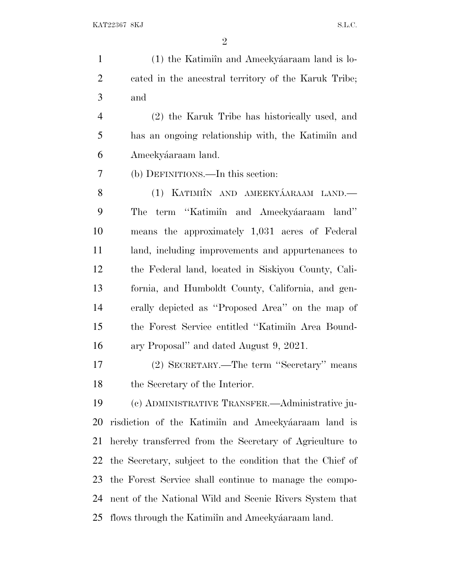1 (1) the Katimiîn and Ameekyáaraam land is lo- cated in the ancestral territory of the Karuk Tribe; and (2) the Karuk Tribe has historically used, and 5 has an ongoing relationship with, the Katimiîn and 6 Ameekyáaraam land. (b) DEFINITIONS.—In this section: 8 (1) KATIMIÎN AND AMEEKYÁARAAM LAND.— 9 The term "Katimiîn and Ameekyáaraam land" means the approximately 1,031 acres of Federal land, including improvements and appurtenances to the Federal land, located in Siskiyou County, Cali- fornia, and Humboldt County, California, and gen- erally depicted as ''Proposed Area'' on the map of 15 the Forest Service entitled "Katimiîn Area Bound- ary Proposal'' and dated August 9, 2021. (2) SECRETARY.—The term ''Secretary'' means the Secretary of the Interior. (c) ADMINISTRATIVE TRANSFER.—Administrative ju-20 risdiction of the Katimiîn and Ameekyáaraam land is hereby transferred from the Secretary of Agriculture to

the Secretary, subject to the condition that the Chief of

the Forest Service shall continue to manage the compo-

nent of the National Wild and Scenic Rivers System that

25 flows through the Katimiîn and Ameekyáaraam land.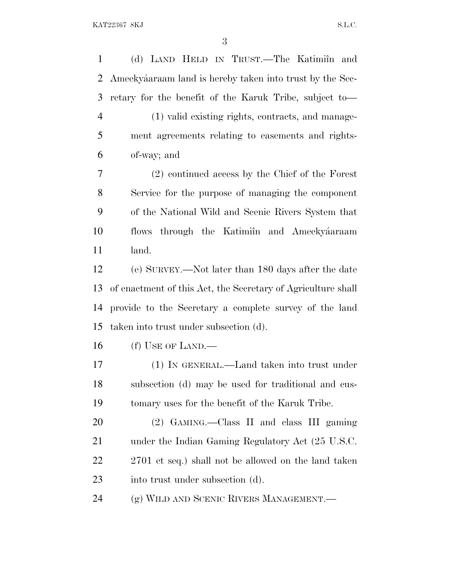1 (d) LAND HELD IN TRUST.—The Katimiîn and 2 Ameekyáaraam land is hereby taken into trust by the Sec- retary for the benefit of the Karuk Tribe, subject to— (1) valid existing rights, contracts, and manage- ment agreements relating to easements and rights- of-way; and (2) continued access by the Chief of the Forest Service for the purpose of managing the component of the National Wild and Scenic Rivers System that 10 flows through the Katimiîn and Ameekyáaraam land. (e) SURVEY.—Not later than 180 days after the date of enactment of this Act, the Secretary of Agriculture shall provide to the Secretary a complete survey of the land taken into trust under subsection (d). (f) USE OF LAND.— (1) IN GENERAL.—Land taken into trust under subsection (d) may be used for traditional and cus- tomary uses for the benefit of the Karuk Tribe. (2) GAMING.—Class II and class III gaming under the Indian Gaming Regulatory Act (25 U.S.C. 22 2701 et seq.) shall not be allowed on the land taken 23 into trust under subsection (d). (g) WILD AND SCENIC RIVERS MANAGEMENT.—